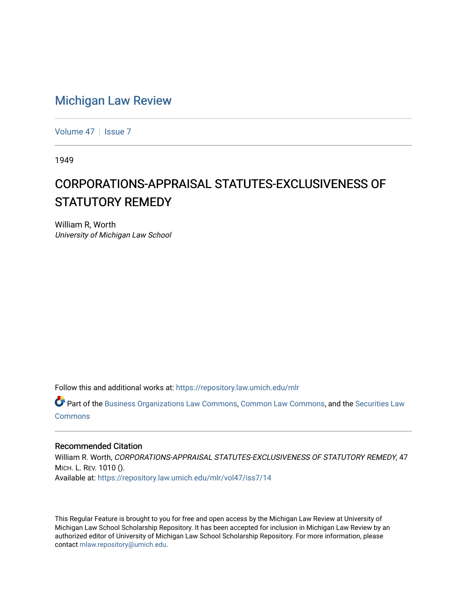## [Michigan Law Review](https://repository.law.umich.edu/mlr)

[Volume 47](https://repository.law.umich.edu/mlr/vol47) | [Issue 7](https://repository.law.umich.edu/mlr/vol47/iss7)

1949

## CORPORATIONS-APPRAISAL STATUTES-EXCLUSIVENESS OF STATUTORY REMEDY

William R, Worth University of Michigan Law School

Follow this and additional works at: [https://repository.law.umich.edu/mlr](https://repository.law.umich.edu/mlr?utm_source=repository.law.umich.edu%2Fmlr%2Fvol47%2Fiss7%2F14&utm_medium=PDF&utm_campaign=PDFCoverPages) 

Part of the [Business Organizations Law Commons](http://network.bepress.com/hgg/discipline/900?utm_source=repository.law.umich.edu%2Fmlr%2Fvol47%2Fiss7%2F14&utm_medium=PDF&utm_campaign=PDFCoverPages), [Common Law Commons,](http://network.bepress.com/hgg/discipline/1120?utm_source=repository.law.umich.edu%2Fmlr%2Fvol47%2Fiss7%2F14&utm_medium=PDF&utm_campaign=PDFCoverPages) and the [Securities Law](http://network.bepress.com/hgg/discipline/619?utm_source=repository.law.umich.edu%2Fmlr%2Fvol47%2Fiss7%2F14&utm_medium=PDF&utm_campaign=PDFCoverPages)  [Commons](http://network.bepress.com/hgg/discipline/619?utm_source=repository.law.umich.edu%2Fmlr%2Fvol47%2Fiss7%2F14&utm_medium=PDF&utm_campaign=PDFCoverPages)

## Recommended Citation

William R. Worth, CORPORATIONS-APPRAISAL STATUTES-EXCLUSIVENESS OF STATUTORY REMEDY, 47 MICH. L. REV. 1010 (). Available at: [https://repository.law.umich.edu/mlr/vol47/iss7/14](https://repository.law.umich.edu/mlr/vol47/iss7/14?utm_source=repository.law.umich.edu%2Fmlr%2Fvol47%2Fiss7%2F14&utm_medium=PDF&utm_campaign=PDFCoverPages) 

This Regular Feature is brought to you for free and open access by the Michigan Law Review at University of Michigan Law School Scholarship Repository. It has been accepted for inclusion in Michigan Law Review by an authorized editor of University of Michigan Law School Scholarship Repository. For more information, please contact [mlaw.repository@umich.edu](mailto:mlaw.repository@umich.edu).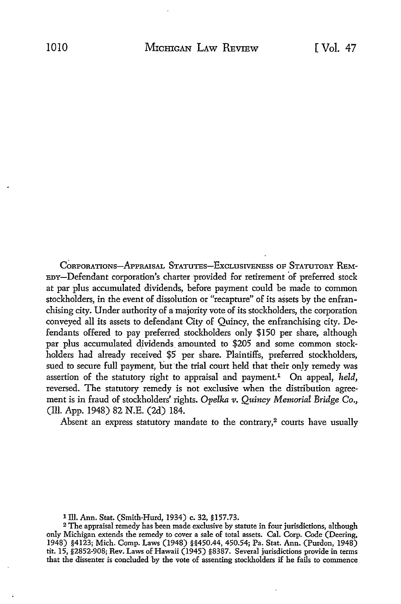CORPORATIONS-APPRAISAL STATUTES-EXCLUSIVENESS OF STATUTORY REM-EDY-Defendant corporation's charter provided for retirement 'of preferred stock at par plus accumulated dividends, before payment could be made to common stockholders, in the event of dissolution or "recapture" of its assets by the enfranchising city. Under authority of a majority vote of its stockholders, the corporation conveyed all its assets to defendant City of Quincy, the enfranchising city. Defendants offered to pay preferred stockholders only \$150 per share, although par plus accumulated dividends amounted to \$205 and some common stockholders had already received \$5 per share. Plaintiffs, preferred stockholders, sued to secure full payment, but the trial court held that their only remedy was assertion of the statutory right to appraisal and payment.1 On appeal, *held,*  reversed. The statutory remedy is not exclusive when the distribution agreement is in fraud of stockholders' rights. *Opelka v. Quincy Memorial Bridge Co.,*  (Ill. App. 1948) 82 N.E. (2d) 184.

Absent an express statutory mandate to the contrary,<sup>2</sup> courts have usually

1 Ill. Ann. Stat. (Smith-Hurd, 1934) c. 32, §157.73.

<sup>2</sup>The appraisal remedy has been made exclusive by statute in four jurisdictions, although only Michigan extends the remedy to cover a sale of total assets. Cal. Corp. Code (Deering, 1948) §4123; Mich. Comp. Laws (1948) §§450.44, 450.54; Pa. Stat. Ann. (Purdon, 1948) tit. 15, §2852-908; Rev. Laws of Hawaii (1945) §8387. Several jurisdictions provide in terms that the dissenter is concluded by the vote of assenting stockholders if he fails to commence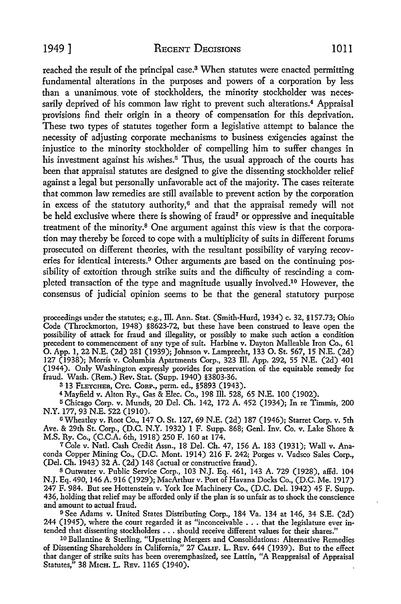reached the result of the principal case.<sup>3</sup> When statutes were enacted permitting fundamental alterations in the purposes and powers of a corporation by less than a unanimous. vote of stockholders, the minority stockholder was necessarily deprived of his common law right to prevent such alterations.<sup>4</sup> Appraisal provisions find their origin in a theory of compensation for this deprivation. These two types of statutes together form a legislative attempt to balance the necessity of adjusting corporate mechanisms to business exigencies against the injustice to the minority stockholder of compelling him to suffer changes in his investment against his wishes.<sup>5</sup> Thus, the usual approach of the courts has been that appraisal statutes are designed to give the dissenting stockholder relief against a legal but personally unfavorable act of the majority. The cases reiterate that common law remedies are still available to prevent action by the corporation in excess of the statutory authority, $6$  and that the appraisal remedy will not be held exclusive where there is showing of fraud<sup>7</sup> or oppressive and inequitable treatment of the minority.8 One argument against this view is that the corporation may thereby be forced to cope with a multiplicity of suits in different forums prosecuted on different theories, with the resultant possibility of varying recoveries for identical interests.<sup>9</sup> Other arguments are based on the continuing pos-

sibility of extortion through strike suits and the difficulty of rescinding a completed transaction of the type and magnitude usually involved.10 However, the consensus of judicial opinion seems to be that the general statutory purpose

proceedings under the statutes; e.g., Ill. Ann. Stat. (Smith-Hurd, 1934) c. 32, §157.73; Ohio Code (Throckmorton, 1948) §8623-72, but these have been construed to leave open the possibility of attack for fraud and illegality, or possibly to make such action a condition precedent to commencement of any type of suit. Harbine v. Dayton Malleable Iron Co., 61 0. App. 1, 22 N.E. (2d) 281 (1939); Johnson v. Lamprecht, 133 0. St. 567, 15 N.E. (2d) 127 (1938); Morris v. Columbia Apartments Corp., 323 Ill. App. 292, 55 N.E. (2d) 401 (1944). Only Washington expressly provides for preservation of the equitable remedy for fraud. Wash. (Rem.) Rev. Stat. (Supp. 1940) §3803-36.

<sup>3</sup>13 FLETCHER, CYc. CoRP., perm. ed., §5893 (1943).

<sup>4</sup>Mayfield v. Alton Ry., Gas & Blee. Co., 198 Ill. 528, 65 N.E. 100 (1902).

5Chicago Corp. v. Munds, 20 Del. Ch. 142, 172 A. 452 (1934); In re Timmis, 200 N.Y. 177, 93 N.E. 522 (1910).

<sup>6</sup>Wheatley v. Root Co., 147 0. St. 127, 69 N.E. (2d) 187 (1946); Starret Corp. v. 5th Ave. & 29th St. Corp., (D.C. N.Y. 1932) 1 F. Supp. 868; Genl. Inv. Co. v. Lake Shore & M.S. Ry. Co., (C.C.A. 6th, 1918) 250 F. 160 at 174.

7 Cole v. Natl. Cash Credit Assn., 18 Del. Ch. 47, 156 A. 183 (1931); Wall v. Anaconda Copper Mining Co., (D.C. Mont. 1914) 216 F. 242; Porges v. Vadsco Sales Corp., (Del. Ch. 1943) 32 A. (2d) 148 (actual or constructive fraud).

<sup>8</sup>Outwater v. Public Service Corp., 103 N.J. Eq. 461, 143 A. 729 (1928), affd. 104 N.J. Eq. 490, 146 A. 916 (1929); MacArthur v. Port of Havana Docks Co., (D.C. Me. 1917) 247 F. 984. But see Hottenstein v. York Ice Machinery Co., (D.C. Del. 1942) 45 F. Supp. 436, holding that relief may be afforded only if the plan is so unfair as to shock the conscience and amount to actual fraud.

<sup>9</sup>See Adams v. United States Distributing Corp., 184 Va. 134 at 146, 34 S.E. (2d) 244 (1945), where the court regarded it as "inconceivable ... that the legislature ever intended that dissenting stockholders ... should receive different values for their shares."

10 Ballantine & Sterling, "Upsetting Mergers and Consolidations: Alternative Remedies of Dissenting Shareholders in California," 27 CALIF. L. REv. 644 (1939). But to the effect that danger of strike suits has been overemphasized, see Lattin, "A Reappraisal of Appraisal Statutes," 38 MICH. L. REV. 1165 (1940).